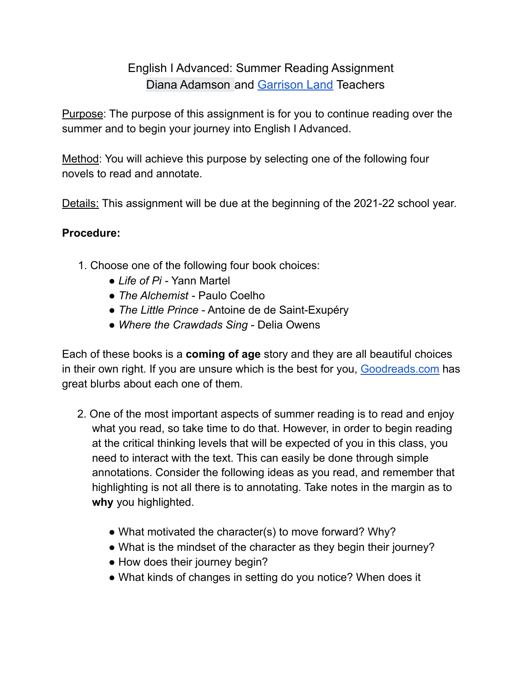## English I Advanced: Summer Reading Assignment Diana Adamson and Garrison Land Teachers

Purpose: The purpose of this assignment is for you to continue reading over the summer and to begin your journey into English I Advanced.

Method: You will achieve this purpose by selecting one of the following four novels to read and annotate.

Details: This assignment will be due at the beginning of the 2021-22 school year.

## **Procedure:**

- 1. Choose one of the following four book choices:
	- *● Life of Pi -* Yann Martel
	- *● The Alchemist* Paulo Coelho
	- *● The Little Prince* Antoine de de Saint-Exupéry
	- *● Where the Crawdads Sing* Delia Owens

Each of these books is a **coming of age** story and they are all beautiful choices in their own right. If you are unsure which is the best for you, Goodreads.com has great blurbs about each one of them.

- 2. One of the most important aspects of summer reading is to read and enjoy what you read, so take time to do that. However, in order to begin reading at the critical thinking levels that will be expected of you in this class, you need to interact with the text. This can easily be done through simple annotations. Consider the following ideas as you read, and remember that highlighting is not all there is to annotating. Take notes in the margin as to **why** you highlighted.
	- What motivated the character(s) to move forward? Why?
	- What is the mindset of the character as they begin their journey?
	- How does their journey begin?
	- What kinds of changes in setting do you notice? When does it